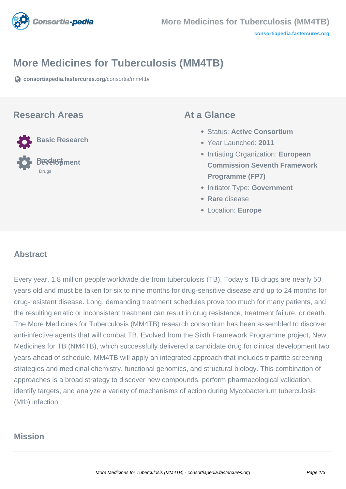

# **More Medicines for Tuberculosis (MM4TB)**

**[consortiapedia.fastercures.org](https://consortiapedia.fastercures.org/consortia/mm4tb/)**[/consortia/mm4tb/](https://consortiapedia.fastercures.org/consortia/mm4tb/)

### **Research Areas**



### **At a Glance**

- Status: **Active Consortium**
- Year Launched: **2011**
- **Initiating Organization: European Commission Seventh Framework Programme (FP7)**
- **Initiator Type: Government**
- **Rare** disease
- Location: **Europe**

#### $\overline{a}$ **Abstract**

Every year, 1.8 million people worldwide die from tuberculosis (TB). Today's TB drugs are nearly 50 years old and must be taken for six to nine months for drug-sensitive disease and up to 24 months for drug-resistant disease. Long, demanding treatment schedules prove too much for many patients, and the resulting erratic or inconsistent treatment can result in drug resistance, treatment failure, or death. The More Medicines for Tuberculosis (MM4TB) research consortium has been assembled to discover anti-infective agents that will combat TB. Evolved from the Sixth Framework Programme project, New Medicines for TB (NM4TB), which successfully delivered a candidate drug for clinical development two years ahead of schedule, MM4TB will apply an integrated approach that includes tripartite screening strategies and medicinal chemistry, functional genomics, and structural biology. This combination of approaches is a broad strategy to discover new compounds, perform pharmacological validation, identify targets, and analyze a variety of mechanisms of action during Mycobacterium tuberculosis (Mtb) infection.

## **Mission**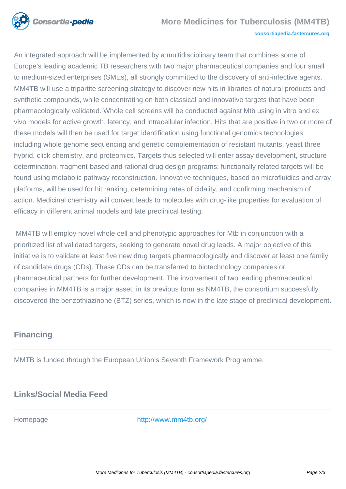

An integrated approach will be implemented by a multidisciplinary team that combines some of Europe's leading academic TB researchers with two major pharmaceutical companies and four small to medium-sized enterprises (SMEs), all strongly committed to the discovery of anti-infective agents. MM4TB will use a tripartite screening strategy to discover new hits in libraries of natural products and synthetic compounds, while concentrating on both classical and innovative targets that have been pharmacologically validated. Whole cell screens will be conducted against Mtb using in vitro and ex vivo models for active growth, latency, and intracellular infection. Hits that are positive in two or more of these models will then be used for target identification using functional genomics technologies including whole genome sequencing and genetic complementation of resistant mutants, yeast three hybrid, click chemistry, and proteomics. Targets thus selected will enter assay development, structure determination, fragment-based and rational drug design programs; functionally related targets will be found using metabolic pathway reconstruction. Innovative techniques, based on microfluidics and array platforms, will be used for hit ranking, determining rates of cidality, and confirming mechanism of action. Medicinal chemistry will convert leads to molecules with drug-like properties for evaluation of efficacy in different animal models and late preclinical testing.

 MM4TB will employ novel whole cell and phenotypic approaches for Mtb in conjunction with a prioritized list of validated targets, seeking to generate novel drug leads. A major objective of this initiative is to validate at least five new drug targets pharmacologically and discover at least one family of candidate drugs (CDs). These CDs can be transferred to biotechnology companies or pharmaceutical partners for further development. The involvement of two leading pharmaceutical companies in MM4TB is a major asset; in its previous form as NM4TB, the consortium successfully discovered the benzothiazinone (BTZ) series, which is now in the late stage of preclinical development.

# **Financing**

MMTB is funded through the European Union's Seventh Framework Programme.

# **Links/Social Media Feed**

Homepage <http://www.mm4tb.org/>